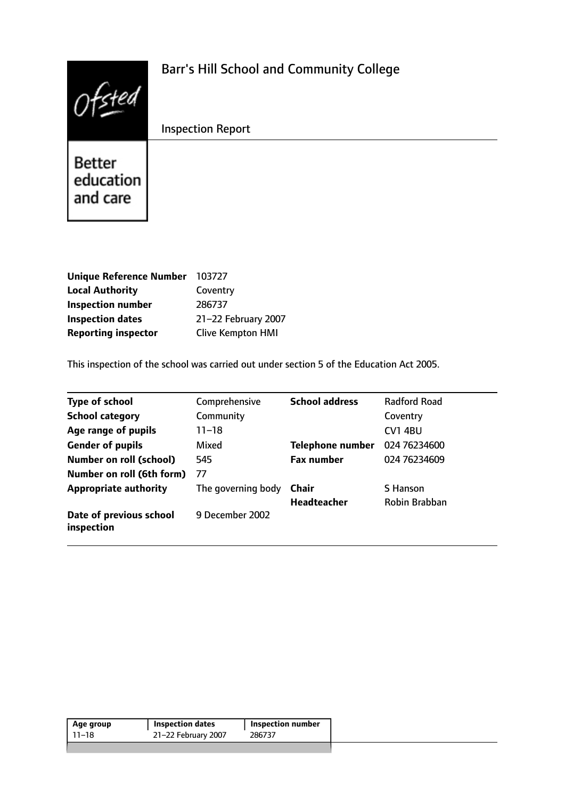|                                 | <b>Barr's Hill School and Community College</b> |
|---------------------------------|-------------------------------------------------|
|                                 | <b>Inspection Report</b>                        |
| Better<br>education<br>and care |                                                 |

| <b>Unique Reference Number</b> | 103727                   |
|--------------------------------|--------------------------|
| <b>Local Authority</b>         | Coventry                 |
| <b>Inspection number</b>       | 286737                   |
| <b>Inspection dates</b>        | 21-22 February 2007      |
| <b>Reporting inspector</b>     | <b>Clive Kempton HMI</b> |

This inspection of the school was carried out under section 5 of the Education Act 2005.

| <b>Type of school</b>                 | Comprehensive      | <b>School address</b> | <b>Radford Road</b> |
|---------------------------------------|--------------------|-----------------------|---------------------|
| <b>School category</b>                | Community          |                       | Coventry            |
| Age range of pupils                   | 11–18              |                       | <b>CV1 4BU</b>      |
| <b>Gender of pupils</b>               | Mixed              | Telephone number      | 024 76234600        |
| <b>Number on roll (school)</b>        | 545                | <b>Fax number</b>     | 024 76234609        |
| Number on roll (6th form)             | 77                 |                       |                     |
| <b>Appropriate authority</b>          | The governing body | Chair                 | S Hanson            |
|                                       |                    | <b>Headteacher</b>    | Robin Brabban       |
| Date of previous school<br>inspection | 9 December 2002    |                       |                     |

| Age group | <b>Inspection dates</b> | <b>Inspection number</b> |  |
|-----------|-------------------------|--------------------------|--|
| 11–18     | 21-22 February 2007     | 286737                   |  |
|           |                         |                          |  |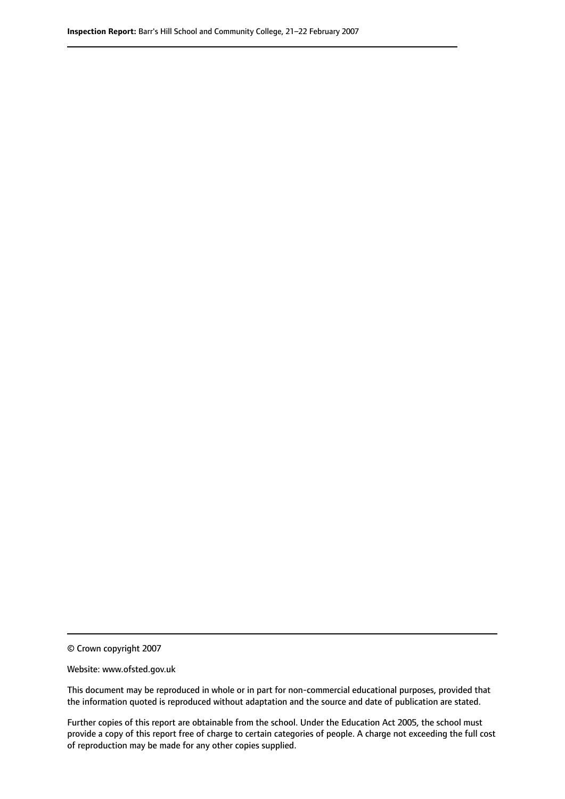© Crown copyright 2007

Website: www.ofsted.gov.uk

This document may be reproduced in whole or in part for non-commercial educational purposes, provided that the information quoted is reproduced without adaptation and the source and date of publication are stated.

Further copies of this report are obtainable from the school. Under the Education Act 2005, the school must provide a copy of this report free of charge to certain categories of people. A charge not exceeding the full cost of reproduction may be made for any other copies supplied.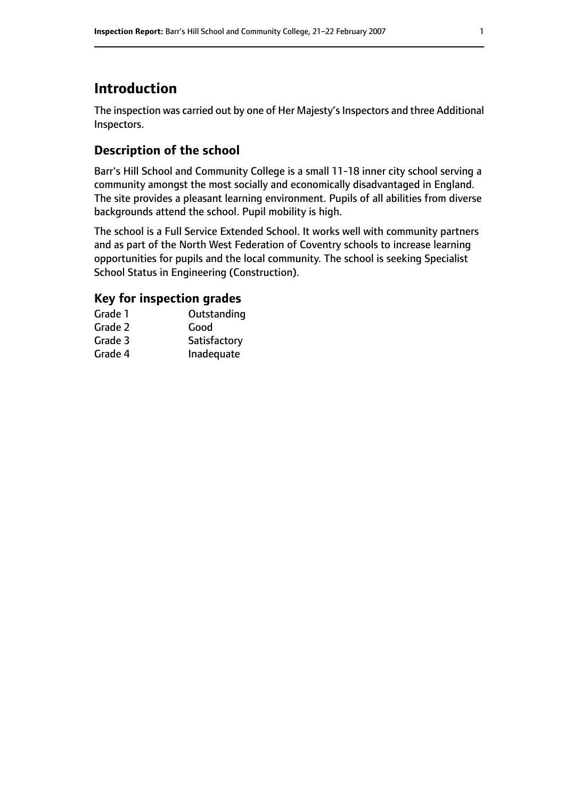## **Introduction**

The inspection was carried out by one of Her Majesty's Inspectors and three Additional Inspectors.

## **Description of the school**

Barr's Hill School and Community College is a small 11-18 inner city school serving a community amongst the most socially and economically disadvantaged in England. The site provides a pleasant learning environment. Pupils of all abilities from diverse backgrounds attend the school. Pupil mobility is high.

The school is a Full Service Extended School. It works well with community partners and as part of the North West Federation of Coventry schools to increase learning opportunities for pupils and the local community. The school is seeking Specialist School Status in Engineering (Construction).

### **Key for inspection grades**

| Grade 1 | Outstanding  |
|---------|--------------|
| Grade 2 | Good         |
| Grade 3 | Satisfactory |
| Grade 4 | Inadequate   |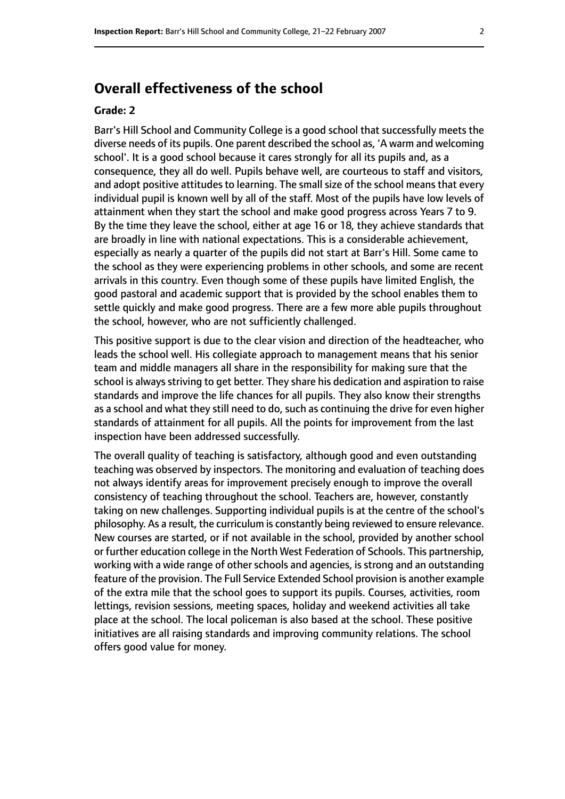## **Overall effectiveness of the school**

#### **Grade: 2**

Barr's Hill School and Community College is a good school that successfully meets the diverse needs of its pupils. One parent described the school as, 'A warm and welcoming school'. It is a good school because it cares strongly for all its pupils and, as a consequence, they all do well. Pupils behave well, are courteous to staff and visitors, and adopt positive attitudes to learning. The small size of the school means that every individual pupil is known well by all of the staff. Most of the pupils have low levels of attainment when they start the school and make good progress across Years 7 to 9. By the time they leave the school, either at age 16 or 18, they achieve standards that are broadly in line with national expectations. This is a considerable achievement, especially as nearly a quarter of the pupils did not start at Barr's Hill. Some came to the school as they were experiencing problems in other schools, and some are recent arrivals in this country. Even though some of these pupils have limited English, the good pastoral and academic support that is provided by the school enables them to settle quickly and make good progress. There are a few more able pupils throughout the school, however, who are not sufficiently challenged.

This positive support is due to the clear vision and direction of the headteacher, who leads the school well. His collegiate approach to management means that his senior team and middle managers all share in the responsibility for making sure that the school is always striving to get better. They share his dedication and aspiration to raise standards and improve the life chances for all pupils. They also know their strengths as a school and what they still need to do, such as continuing the drive for even higher standards of attainment for all pupils. All the points for improvement from the last inspection have been addressed successfully.

The overall quality of teaching is satisfactory, although good and even outstanding teaching was observed by inspectors. The monitoring and evaluation of teaching does not always identify areas for improvement precisely enough to improve the overall consistency of teaching throughout the school. Teachers are, however, constantly taking on new challenges. Supporting individual pupils is at the centre of the school's philosophy. As a result, the curriculum is constantly being reviewed to ensure relevance. New courses are started, or if not available in the school, provided by another school or further education college in the North West Federation of Schools. This partnership, working with a wide range of other schools and agencies, is strong and an outstanding feature of the provision. The Full Service Extended School provision is another example of the extra mile that the school goes to support its pupils. Courses, activities, room lettings, revision sessions, meeting spaces, holiday and weekend activities all take place at the school. The local policeman is also based at the school. These positive initiatives are all raising standards and improving community relations. The school offers good value for money.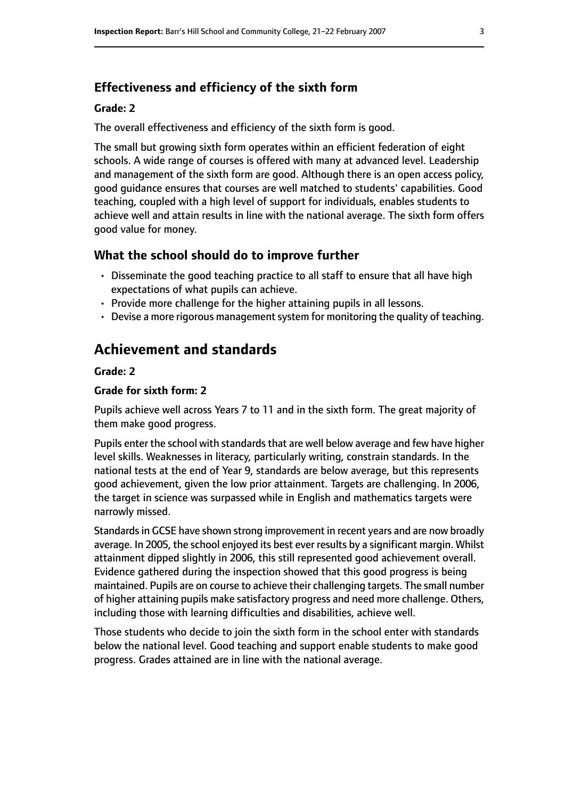### **Effectiveness and efficiency of the sixth form**

#### **Grade: 2**

The overall effectiveness and efficiency of the sixth form is good.

The small but growing sixth form operates within an efficient federation of eight schools. A wide range of courses is offered with many at advanced level. Leadership and management of the sixth form are good. Although there is an open access policy, good guidance ensures that courses are well matched to students' capabilities. Good teaching, coupled with a high level of support for individuals, enables students to achieve well and attain results in line with the national average. The sixth form offers good value for money.

### **What the school should do to improve further**

- Disseminate the good teaching practice to all staff to ensure that all have high expectations of what pupils can achieve.
- Provide more challenge for the higher attaining pupils in all lessons.
- Devise a more rigorous management system for monitoring the quality of teaching.

## **Achievement and standards**

#### **Grade: 2**

### **Grade for sixth form: 2**

Pupils achieve well across Years 7 to 11 and in the sixth form. The great majority of them make good progress.

Pupils enter the school with standards that are well below average and few have higher level skills. Weaknesses in literacy, particularly writing, constrain standards. In the national tests at the end of Year 9, standards are below average, but this represents good achievement, given the low prior attainment. Targets are challenging. In 2006, the target in science was surpassed while in English and mathematics targets were narrowly missed.

Standards in GCSE have shown strong improvement in recent years and are now broadly average. In 2005, the school enjoyed its best ever results by a significant margin. Whilst attainment dipped slightly in 2006, this still represented good achievement overall. Evidence gathered during the inspection showed that this good progress is being maintained. Pupils are on course to achieve their challenging targets. The small number of higher attaining pupils make satisfactory progress and need more challenge. Others, including those with learning difficulties and disabilities, achieve well.

Those students who decide to join the sixth form in the school enter with standards below the national level. Good teaching and support enable students to make good progress. Grades attained are in line with the national average.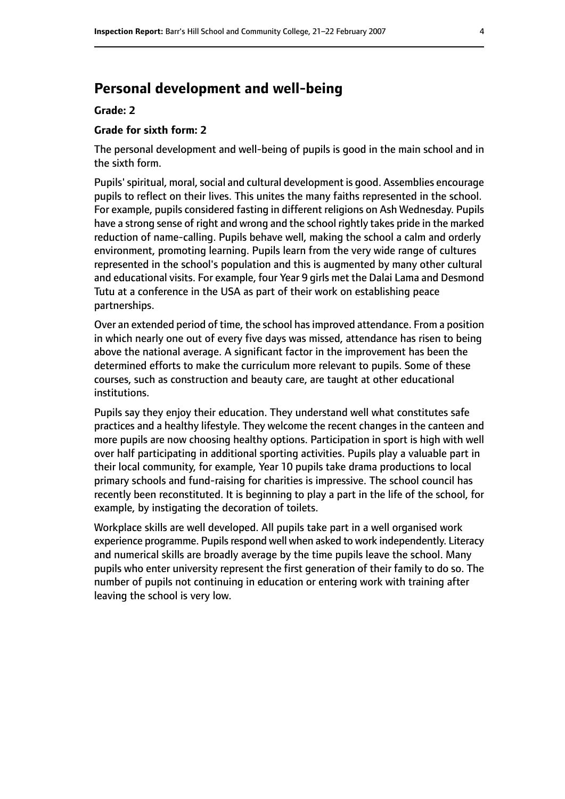### **Personal development and well-being**

#### **Grade: 2**

### **Grade for sixth form: 2**

The personal development and well-being of pupils is good in the main school and in the sixth form.

Pupils' spiritual, moral, social and cultural development is good. Assemblies encourage pupils to reflect on their lives. This unites the many faiths represented in the school. For example, pupils considered fasting in different religions on Ash Wednesday. Pupils have a strong sense of right and wrong and the school rightly takes pride in the marked reduction of name-calling. Pupils behave well, making the school a calm and orderly environment, promoting learning. Pupils learn from the very wide range of cultures represented in the school's population and this is augmented by many other cultural and educational visits. For example, four Year 9 girls met the Dalai Lama and Desmond Tutu at a conference in the USA as part of their work on establishing peace partnerships.

Over an extended period of time, the school hasimproved attendance. From a position in which nearly one out of every five days was missed, attendance has risen to being above the national average. A significant factor in the improvement has been the determined efforts to make the curriculum more relevant to pupils. Some of these courses, such as construction and beauty care, are taught at other educational institutions.

Pupils say they enjoy their education. They understand well what constitutes safe practices and a healthy lifestyle. They welcome the recent changes in the canteen and more pupils are now choosing healthy options. Participation in sport is high with well over half participating in additional sporting activities. Pupils play a valuable part in their local community, for example, Year 10 pupils take drama productions to local primary schools and fund-raising for charities is impressive. The school council has recently been reconstituted. It is beginning to play a part in the life of the school, for example, by instigating the decoration of toilets.

Workplace skills are well developed. All pupils take part in a well organised work experience programme. Pupils respond well when asked to work independently. Literacy and numerical skills are broadly average by the time pupils leave the school. Many pupils who enter university represent the first generation of their family to do so. The number of pupils not continuing in education or entering work with training after leaving the school is very low.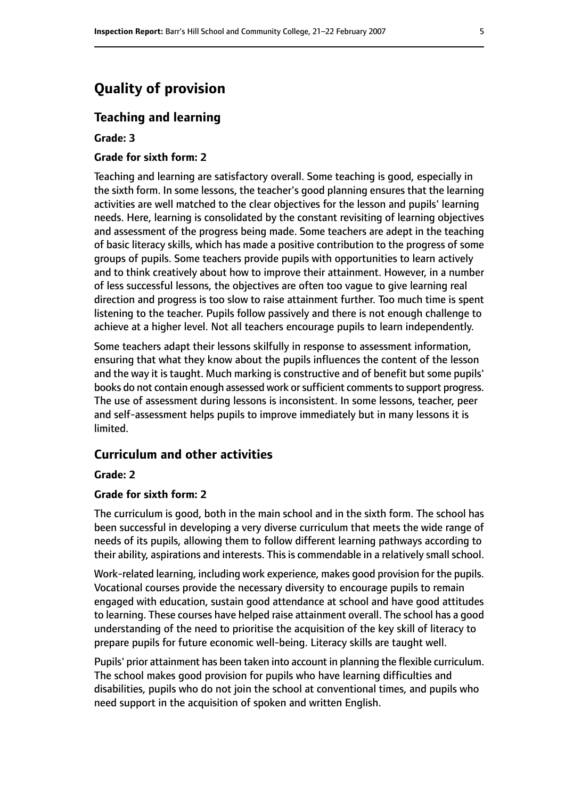## **Quality of provision**

### **Teaching and learning**

**Grade: 3**

#### **Grade for sixth form: 2**

Teaching and learning are satisfactory overall. Some teaching is good, especially in the sixth form. In some lessons, the teacher's good planning ensures that the learning activities are well matched to the clear objectives for the lesson and pupils' learning needs. Here, learning is consolidated by the constant revisiting of learning objectives and assessment of the progress being made. Some teachers are adept in the teaching of basic literacy skills, which has made a positive contribution to the progress of some groups of pupils. Some teachers provide pupils with opportunities to learn actively and to think creatively about how to improve their attainment. However, in a number of less successful lessons, the objectives are often too vague to give learning real direction and progress is too slow to raise attainment further. Too much time is spent listening to the teacher. Pupils follow passively and there is not enough challenge to achieve at a higher level. Not all teachers encourage pupils to learn independently.

Some teachers adapt their lessons skilfully in response to assessment information, ensuring that what they know about the pupils influences the content of the lesson and the way it is taught. Much marking is constructive and of benefit but some pupils' books do not contain enough assessed work or sufficient comments to support progress. The use of assessment during lessons is inconsistent. In some lessons, teacher, peer and self-assessment helps pupils to improve immediately but in many lessons it is limited.

### **Curriculum and other activities**

#### **Grade: 2**

#### **Grade for sixth form: 2**

The curriculum is good, both in the main school and in the sixth form. The school has been successful in developing a very diverse curriculum that meets the wide range of needs of its pupils, allowing them to follow different learning pathways according to their ability, aspirations and interests. This is commendable in a relatively small school.

Work-related learning, including work experience, makes good provision for the pupils. Vocational courses provide the necessary diversity to encourage pupils to remain engaged with education, sustain good attendance at school and have good attitudes to learning. These courses have helped raise attainment overall. The school has a good understanding of the need to prioritise the acquisition of the key skill of literacy to prepare pupils for future economic well-being. Literacy skills are taught well.

Pupils' prior attainment has been taken into account in planning the flexible curriculum. The school makes good provision for pupils who have learning difficulties and disabilities, pupils who do not join the school at conventional times, and pupils who need support in the acquisition of spoken and written English.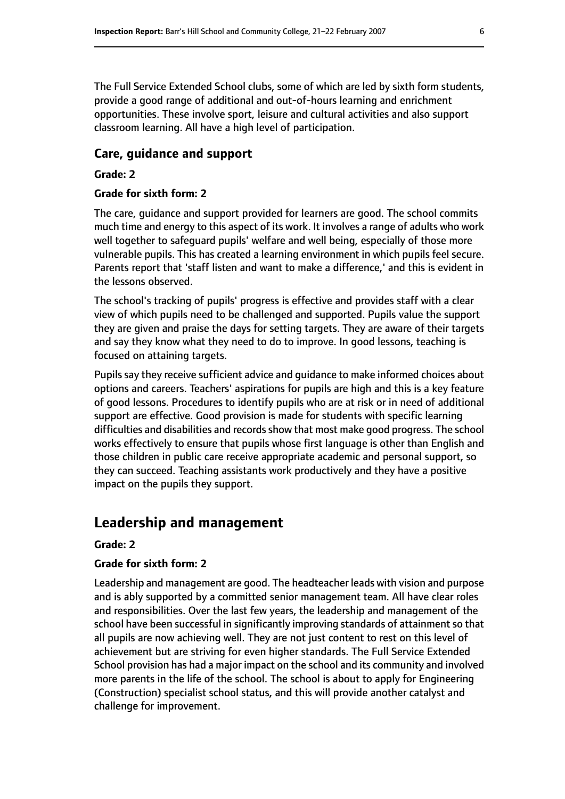The Full Service Extended School clubs, some of which are led by sixth form students, provide a good range of additional and out-of-hours learning and enrichment opportunities. These involve sport, leisure and cultural activities and also support classroom learning. All have a high level of participation.

### **Care, guidance and support**

### **Grade: 2**

### **Grade for sixth form: 2**

The care, guidance and support provided for learners are good. The school commits much time and energy to this aspect of its work. It involves a range of adults who work well together to safeguard pupils' welfare and well being, especially of those more vulnerable pupils. This has created a learning environment in which pupils feel secure. Parents report that 'staff listen and want to make a difference,' and this is evident in the lessons observed.

The school's tracking of pupils' progress is effective and provides staff with a clear view of which pupils need to be challenged and supported. Pupils value the support they are given and praise the days for setting targets. They are aware of their targets and say they know what they need to do to improve. In good lessons, teaching is focused on attaining targets.

Pupils say they receive sufficient advice and guidance to make informed choices about options and careers. Teachers' aspirations for pupils are high and this is a key feature of good lessons. Procedures to identify pupils who are at risk or in need of additional support are effective. Good provision is made for students with specific learning difficulties and disabilities and records show that most make good progress. The school works effectively to ensure that pupils whose first language is other than English and those children in public care receive appropriate academic and personal support, so they can succeed. Teaching assistants work productively and they have a positive impact on the pupils they support.

### **Leadership and management**

#### **Grade: 2**

#### **Grade for sixth form: 2**

Leadership and management are good. The headteacher leads with vision and purpose and is ably supported by a committed senior management team. All have clear roles and responsibilities. Over the last few years, the leadership and management of the school have been successful in significantly improving standards of attainment so that all pupils are now achieving well. They are not just content to rest on this level of achievement but are striving for even higher standards. The Full Service Extended School provision has had a major impact on the school and its community and involved more parents in the life of the school. The school is about to apply for Engineering (Construction) specialist school status, and this will provide another catalyst and challenge for improvement.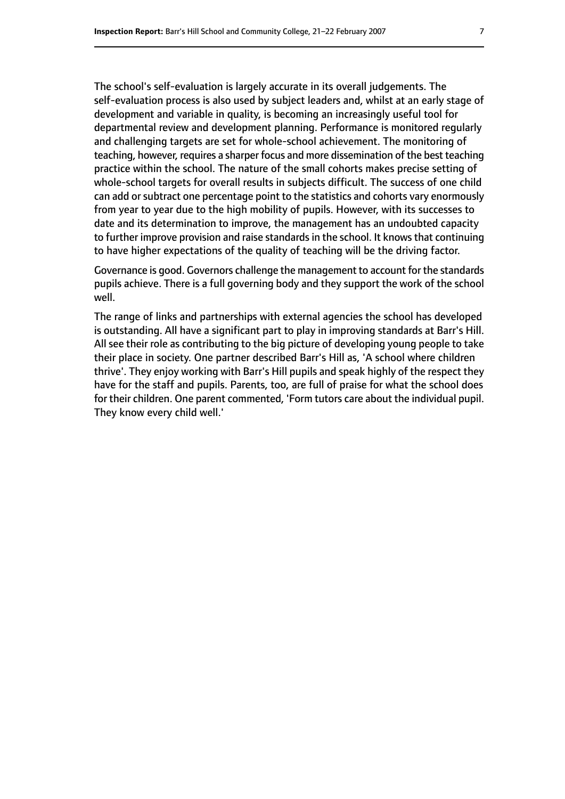The school's self-evaluation is largely accurate in its overall judgements. The self-evaluation process is also used by subject leaders and, whilst at an early stage of development and variable in quality, is becoming an increasingly useful tool for departmental review and development planning. Performance is monitored regularly and challenging targets are set for whole-school achievement. The monitoring of teaching, however, requires a sharper focus and more dissemination of the best teaching practice within the school. The nature of the small cohorts makes precise setting of whole-school targets for overall results in subjects difficult. The success of one child can add or subtract one percentage point to the statistics and cohorts vary enormously from year to year due to the high mobility of pupils. However, with its successes to date and its determination to improve, the management has an undoubted capacity to further improve provision and raise standards in the school. It knows that continuing to have higher expectations of the quality of teaching will be the driving factor.

Governance is good. Governors challenge the management to account for the standards pupils achieve. There is a full governing body and they support the work of the school well.

The range of links and partnerships with external agencies the school has developed is outstanding. All have a significant part to play in improving standards at Barr's Hill. All see their role as contributing to the big picture of developing young people to take their place in society. One partner described Barr's Hill as, 'A school where children thrive'. They enjoy working with Barr's Hill pupils and speak highly of the respect they have for the staff and pupils. Parents, too, are full of praise for what the school does for their children. One parent commented, 'Form tutors care about the individual pupil. They know every child well.'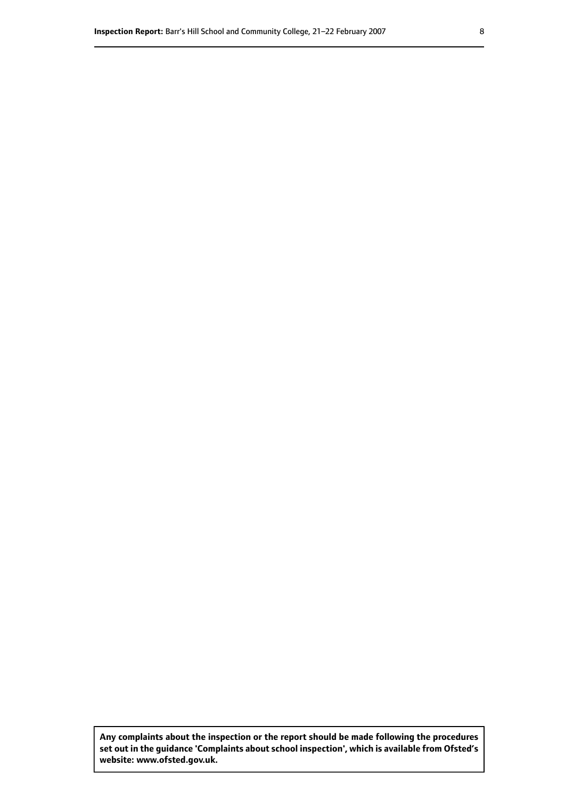**Any complaints about the inspection or the report should be made following the procedures set out inthe guidance 'Complaints about school inspection', whichis available from Ofsted's website: www.ofsted.gov.uk.**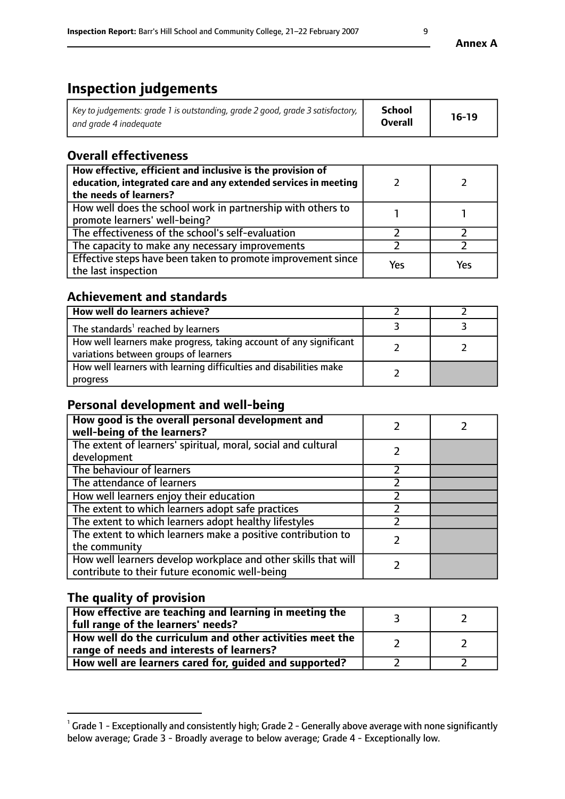# **Inspection judgements**

| Key to judgements: grade 1 is outstanding, grade 2 good, grade 3 satisfactory, $\mid$ | <b>School</b>  | $16-19$ |
|---------------------------------------------------------------------------------------|----------------|---------|
| and grade 4 inadeguate                                                                | <b>Overall</b> |         |

### **Overall effectiveness**

| How effective, efficient and inclusive is the provision of<br>education, integrated care and any extended services in meeting<br>the needs of learners? |     |     |
|---------------------------------------------------------------------------------------------------------------------------------------------------------|-----|-----|
| How well does the school work in partnership with others to<br>promote learners' well-being?                                                            |     |     |
| The effectiveness of the school's self-evaluation                                                                                                       |     |     |
| The capacity to make any necessary improvements                                                                                                         |     |     |
| Effective steps have been taken to promote improvement since<br>the last inspection                                                                     | Yes | Yes |

## **Achievement and standards**

| How well do learners achieve?                                                                               |  |
|-------------------------------------------------------------------------------------------------------------|--|
| The standards <sup>1</sup> reached by learners                                                              |  |
| How well learners make progress, taking account of any significant<br>variations between groups of learners |  |
| How well learners with learning difficulties and disabilities make<br>progress                              |  |

### **Personal development and well-being**

| How good is the overall personal development and<br>well-being of the learners?                                  |  |
|------------------------------------------------------------------------------------------------------------------|--|
| The extent of learners' spiritual, moral, social and cultural<br>development                                     |  |
| The behaviour of learners                                                                                        |  |
| The attendance of learners                                                                                       |  |
| How well learners enjoy their education                                                                          |  |
| The extent to which learners adopt safe practices                                                                |  |
| The extent to which learners adopt healthy lifestyles                                                            |  |
| The extent to which learners make a positive contribution to<br>the community                                    |  |
| How well learners develop workplace and other skills that will<br>contribute to their future economic well-being |  |

## **The quality of provision**

| How effective are teaching and learning in meeting the<br>full range of the learners' needs?          |  |
|-------------------------------------------------------------------------------------------------------|--|
| How well do the curriculum and other activities meet the<br>range of needs and interests of learners? |  |
| How well are learners cared for, guided and supported?                                                |  |

 $^1$  Grade 1 - Exceptionally and consistently high; Grade 2 - Generally above average with none significantly below average; Grade 3 - Broadly average to below average; Grade 4 - Exceptionally low.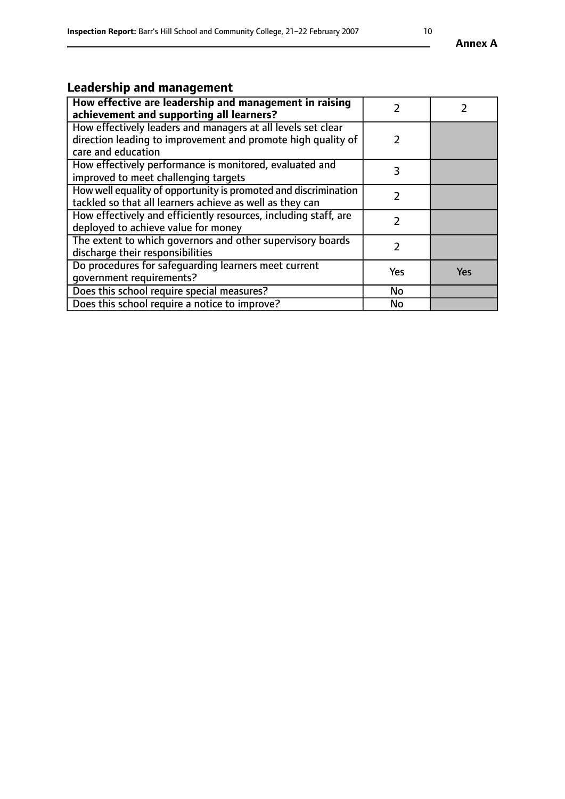### **Annex A**

## **Leadership and management**

| How effective are leadership and management in raising<br>achievement and supporting all learners?                                                 |     |            |
|----------------------------------------------------------------------------------------------------------------------------------------------------|-----|------------|
| How effectively leaders and managers at all levels set clear<br>direction leading to improvement and promote high quality of<br>care and education | 2   |            |
| How effectively performance is monitored, evaluated and<br>improved to meet challenging targets                                                    | 3   |            |
| How well equality of opportunity is promoted and discrimination<br>tackled so that all learners achieve as well as they can                        |     |            |
| How effectively and efficiently resources, including staff, are<br>deployed to achieve value for money                                             |     |            |
| The extent to which governors and other supervisory boards<br>discharge their responsibilities                                                     |     |            |
| Do procedures for safeguarding learners meet current<br>qovernment requirements?                                                                   | Yes | <b>Yes</b> |
| Does this school require special measures?                                                                                                         | No  |            |
| Does this school require a notice to improve?                                                                                                      | No  |            |